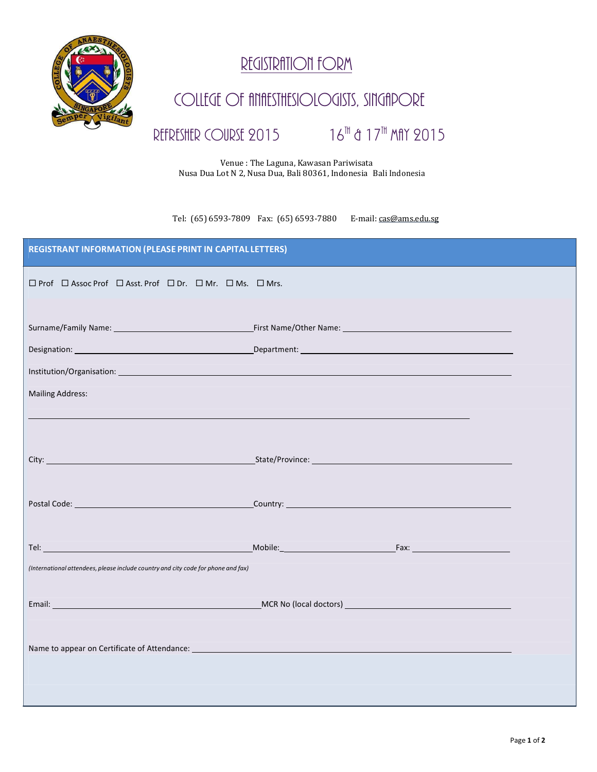

## REGISTRATION FORM

## COLLEGE OF ANAESTHESIOLOGISTS, SINGAPORE

## REFRESHER COURSE 2015

## th & 17 th May 2015

 Venue : The Laguna, Kawasan Pariwisata Nusa Dua Lot N 2, Nusa Dua, Bali 80361, Indonesia Bali Indonesia

Tel: (65) 6593-7809 Fax: (65) 6593-7880 E-mail: [cas@ams.edu.sg](mailto:cas@ams.edu.sg)

| <b>REGISTRANT INFORMATION (PLEASE PRINT IN CAPITAL LETTERS)</b>                                                                                                                                                               |  |  |
|-------------------------------------------------------------------------------------------------------------------------------------------------------------------------------------------------------------------------------|--|--|
| $\Box$ Prof $\Box$ Assoc Prof $\Box$ Asst. Prof $\Box$ Dr. $\Box$ Mr. $\Box$ Ms. $\Box$ Mrs.                                                                                                                                  |  |  |
|                                                                                                                                                                                                                               |  |  |
|                                                                                                                                                                                                                               |  |  |
|                                                                                                                                                                                                                               |  |  |
|                                                                                                                                                                                                                               |  |  |
| <b>Mailing Address:</b>                                                                                                                                                                                                       |  |  |
|                                                                                                                                                                                                                               |  |  |
|                                                                                                                                                                                                                               |  |  |
|                                                                                                                                                                                                                               |  |  |
|                                                                                                                                                                                                                               |  |  |
|                                                                                                                                                                                                                               |  |  |
|                                                                                                                                                                                                                               |  |  |
| Tel: Tel: The Contract of the Contract of the Contract of the Contract of the Contract of the Contract of the Contract of the Contract of the Contract of the Contract of the Contract of the Contract of the Contract of the |  |  |
| (International attendees, please include country and city code for phone and fax)                                                                                                                                             |  |  |
|                                                                                                                                                                                                                               |  |  |
|                                                                                                                                                                                                                               |  |  |
|                                                                                                                                                                                                                               |  |  |
|                                                                                                                                                                                                                               |  |  |
|                                                                                                                                                                                                                               |  |  |